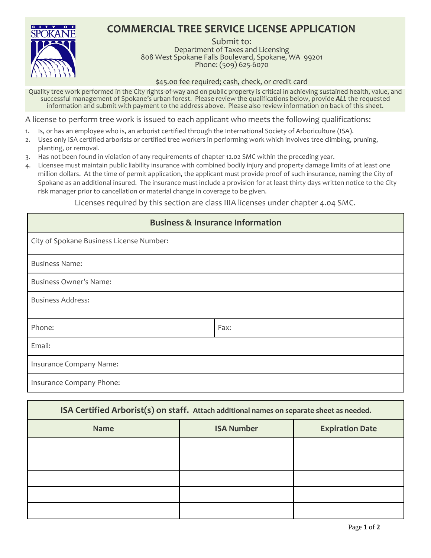## **COMMERCIAL TREE SERVICE LICENSE APPLICATION**



Submit to: Department of Taxes and Licensing 808 West Spokane Falls Boulevard, Spokane, WA 99201 Phone: (509) 625-6070

\$45.00 fee required; cash, check, or credit card

Quality tree work performed in the City rights-of-way and on public property is critical in achieving sustained health, value, and successful management of Spokane's urban forest. Please review the qualifications below, provide *ALL* the requested information and submit with payment to the address above. Please also review information on back of this sheet.

A license to perform tree work is issued to each applicant who meets the following qualifications:

- 1. Is, or has an employee who is, an arborist certified through the International Society of Arboriculture (ISA).
- 2. Uses only ISA certified arborists or certified tree workers in performing work which involves tree climbing, pruning, planting, or removal.
- 3. Has not been found in violation of any requirements of chapter 12.02 SMC within the preceding year.
- 4. Licensee must maintain public liability insurance with combined bodily injury and property damage limits of at least one million dollars. At the time of permit application, the applicant must provide proof of such insurance, naming the City of Spokane as an additional insured. The insurance must include a provision for at least thirty days written notice to the City risk manager prior to cancellation or material change in coverage to be given.

Licenses required by this section are class IIIA licenses under chapter 4.04 SMC.

| <b>Business &amp; Insurance Information</b> |      |  |
|---------------------------------------------|------|--|
| City of Spokane Business License Number:    |      |  |
| <b>Business Name:</b>                       |      |  |
| <b>Business Owner's Name:</b>               |      |  |
| <b>Business Address:</b>                    |      |  |
| Phone:                                      | Fax: |  |
| Email:                                      |      |  |
| Insurance Company Name:                     |      |  |
| Insurance Company Phone:                    |      |  |

| ISA Certified Arborist(s) on staff. Attach additional names on separate sheet as needed. |                   |                        |
|------------------------------------------------------------------------------------------|-------------------|------------------------|
| <b>Name</b>                                                                              | <b>ISA Number</b> | <b>Expiration Date</b> |
|                                                                                          |                   |                        |
|                                                                                          |                   |                        |
|                                                                                          |                   |                        |
|                                                                                          |                   |                        |
|                                                                                          |                   |                        |